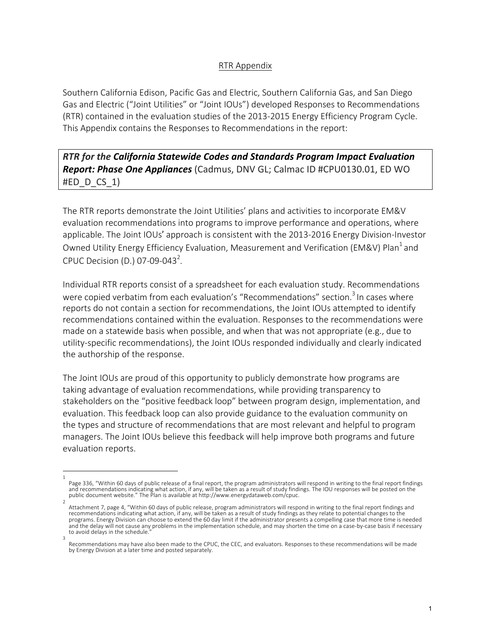## RTR Appendix

Southern California Edison, Pacific Gas and Electric, Southern California Gas, and San Diego Gas and Electric ("Joint Utilities" or "Joint IOUs") developed Responses to Recommendations (RTR) contained in the evaluation studies of the 2013-2015 Energy Efficiency Program Cycle. This Appendix contains the Responses to Recommendations in the report:

**RTR** for the California Statewide Codes and Standards Program Impact Evaluation *Report: Phase One Appliances* (Cadmus, DNV GL; Calmac ID #CPU0130.01, ED WO  $#ED$   $D$   $CS$   $1)$ 

The RTR reports demonstrate the Joint Utilities' plans and activities to incorporate EM&V evaluation recommendations into programs to improve performance and operations, where applicable. The Joint IOUs' approach is consistent with the 2013-2016 Energy Division-Investor Owned Utility Energy Efficiency Evaluation, Measurement and Verification (EM&V) Plan<sup>1</sup> and CPUC Decision (D.) 07-09-043<sup>2</sup>.

Individual RTR reports consist of a spreadsheet for each evaluation study. Recommendations were copied verbatim from each evaluation's "Recommendations" section.<sup>3</sup> In cases where reports do not contain a section for recommendations, the Joint IOUs attempted to identify recommendations contained within the evaluation. Responses to the recommendations were made on a statewide basis when possible, and when that was not appropriate (e.g., due to utility-specific recommendations), the Joint IOUs responded individually and clearly indicated the authorship of the response.

The Joint IOUs are proud of this opportunity to publicly demonstrate how programs are taking advantage of evaluation recommendations, while providing transparency to stakeholders on the "positive feedback loop" between program design, implementation, and evaluation. This feedback loop can also provide guidance to the evaluation community on the types and structure of recommendations that are most relevant and helpful to program managers. The Joint IOUs believe this feedback will help improve both programs and future evaluation reports.

<sup>1</sup> Page 336, "Within 60 days of public release of a final report, the program administrators will respond in writing to the final report findings and recommendations indicating what action, if any, will be taken as a result of study findings. The IOU responses will be posted on the<br>public document website." The Plan is available at http://www.energydataweb.com/cpuc.

<sup>2</sup> Attachment 7, page 4, "Within 60 days of public release, program administrators will respond in writing to the final report findings and recommendations indicating what action, if any, will be taken as a result of study findings as they relate to potential changes to the programs. Energy Division can choose to extend the 60 day limit if the administrator presents a compelling case that more time is needed and the delay will not cause any problems in the implementation schedule, and may shorten the time on a case-by-case basis if necessary to avoid delays in the schedule.

<sup>3</sup> Recommendations may have also been made to the CPUC, the CEC, and evaluators. Responses to these recommendations will be made by Energy Division at a later time and posted separately.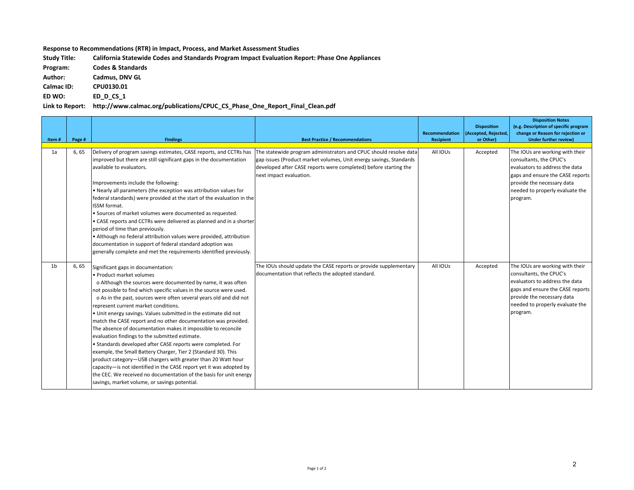**Response to Recommendations (RTR) in Impact, Process, and Market Assessment Studies** 

Study Title: California Statewide Codes and Standards Program Impact Evaluation Report: Phase One Appliances

**Program: Codes & Standards**

Author: **Cadmus, DNV GL** 

**Calmac ID: CPU0130.01**

**ED WO: ED\_D\_CS\_1**

Link to Report: http://www.calmac.org/publications/CPUC\_CS\_Phase\_One\_Report\_Final\_Clean.pdf

| Item#          | Page # | <b>Findings</b>                                                                                                                                                                                                                                                                                                                                                                                                                                                                                                                                                                                                                                                                                                                                                                                                                                                                                                                                                             | <b>Best Practice / Recommendations</b>                                                                                                                                                                                                                                                                    | Recommendation<br>Recipient | <b>Disposition</b><br>(Accepted, Rejected,<br>or Other) | <b>Disposition Notes</b><br>(e.g. Description of specific program<br>change or Reason for rejection or<br><b>Under further review)</b>                                                                        |
|----------------|--------|-----------------------------------------------------------------------------------------------------------------------------------------------------------------------------------------------------------------------------------------------------------------------------------------------------------------------------------------------------------------------------------------------------------------------------------------------------------------------------------------------------------------------------------------------------------------------------------------------------------------------------------------------------------------------------------------------------------------------------------------------------------------------------------------------------------------------------------------------------------------------------------------------------------------------------------------------------------------------------|-----------------------------------------------------------------------------------------------------------------------------------------------------------------------------------------------------------------------------------------------------------------------------------------------------------|-----------------------------|---------------------------------------------------------|---------------------------------------------------------------------------------------------------------------------------------------------------------------------------------------------------------------|
|                |        |                                                                                                                                                                                                                                                                                                                                                                                                                                                                                                                                                                                                                                                                                                                                                                                                                                                                                                                                                                             |                                                                                                                                                                                                                                                                                                           |                             |                                                         |                                                                                                                                                                                                               |
| 1a             | 6,65   | improved but there are still significant gaps in the documentation<br>available to evaluators.                                                                                                                                                                                                                                                                                                                                                                                                                                                                                                                                                                                                                                                                                                                                                                                                                                                                              | Delivery of program savings estimates, CASE reports, and CCTRs has The statewide program administrators and CPUC should resolve data<br>gap issues (Product market volumes, Unit energy savings, Standards<br>developed after CASE reports were completed) before starting the<br>next impact evaluation. | All IOUs                    | Accepted                                                | The IOUs are working with their<br>consultants, the CPUC's<br>evaluators to address the data<br>gaps and ensure the CASE reports                                                                              |
|                |        | Improvements include the following:<br>. Nearly all parameters (the exception was attribution values for<br>federal standards) were provided at the start of the evaluation in the<br>ISSM format.<br>• Sources of market volumes were documented as requested.                                                                                                                                                                                                                                                                                                                                                                                                                                                                                                                                                                                                                                                                                                             |                                                                                                                                                                                                                                                                                                           |                             |                                                         | provide the necessary data<br>needed to properly evaluate the<br>program.                                                                                                                                     |
|                |        | • CASE reports and CCTRs were delivered as planned and in a shorter<br>period of time than previously.<br>• Although no federal attribution values were provided, attribution<br>documentation in support of federal standard adoption was<br>generally complete and met the requirements identified previously.                                                                                                                                                                                                                                                                                                                                                                                                                                                                                                                                                                                                                                                            |                                                                                                                                                                                                                                                                                                           |                             |                                                         |                                                                                                                                                                                                               |
| 1 <sub>b</sub> | 6, 65  | Significant gaps in documentation:<br>• Product market volumes<br>o Although the sources were documented by name, it was often<br>not possible to find which specific values in the source were used.<br>o As in the past, sources were often several years old and did not<br>represent current market conditions.<br>. Unit energy savings. Values submitted in the estimate did not<br>match the CASE report and no other documentation was provided.<br>The absence of documentation makes it impossible to reconcile<br>evaluation findings to the submitted estimate.<br>• Standards developed after CASE reports were completed. For<br>example, the Small Battery Charger, Tier 2 (Standard 30). This<br>product category-USB chargers with greater than 20 Watt hour<br>capacity-is not identified in the CASE report yet it was adopted by<br>the CEC. We received no documentation of the basis for unit energy<br>savings, market volume, or savings potential. | The IOUs should update the CASE reports or provide supplementary<br>documentation that reflects the adopted standard.                                                                                                                                                                                     | All IOUs                    | Accepted                                                | The IOUs are working with their<br>consultants, the CPUC's<br>evaluators to address the data<br>gaps and ensure the CASE reports<br>provide the necessary data<br>needed to properly evaluate the<br>program. |